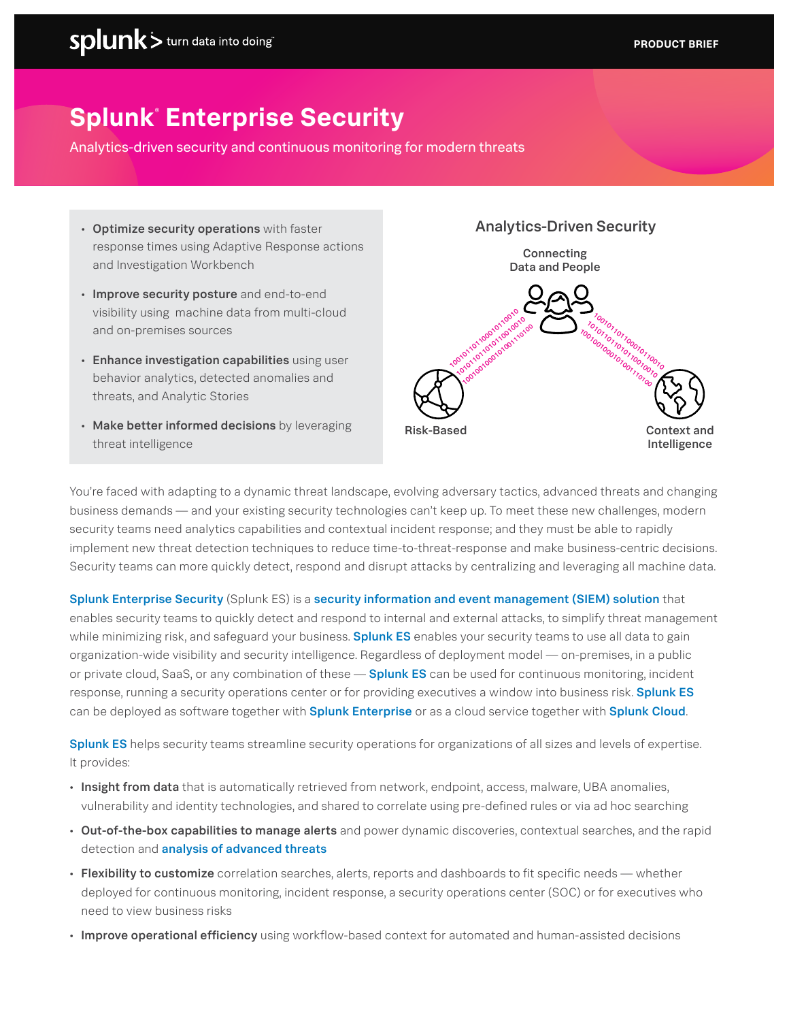# **Splunk**®  **Enterprise Security**

Analytics-driven security and continuous monitoring for modern threats

- Optimize security operations with faster response times using Adaptive Response actions and Investigation Workbench
- Improve security posture and end-to-end visibility using machine data from multi-cloud and on-premises sources
- Enhance investigation capabilities using user behavior analytics, detected anomalies and threats, and Analytic Stories
- Make better informed decisions by leveraging threat intelligence



You're faced with adapting to a dynamic threat landscape, evolving adversary tactics, advanced threats and changing business demands — and your existing security technologies can't keep up. To meet these new challenges, modern security teams need analytics capabilities and contextual incident response; and they must be able to rapidly implement new threat detection techniques to reduce time-to-threat-response and make business-centric decisions. Security teams can more quickly detect, respond and disrupt attacks by centralizing and leveraging all machine data.

Splunk Enterprise Security (Splunk ES) is a security information and event management (SIEM) solution that enables security teams to quickly detect and respond to internal and external attacks, to simplify threat management while minimizing risk, and safeguard your business. Splunk ES enables your security teams to use all data to gain organization-wide visibility and security intelligence. Regardless of deployment model — on-premises, in a public or private cloud, SaaS, or any combination of these — Splunk ES can be used for continuous monitoring, incident response, running a security operations center or for providing executives a window into business risk. Splunk ES can be deployed as software together with **Splunk Enterprise** or as a cloud service together with **Splunk Cloud.** 

Splunk ES helps security teams streamline security operations for organizations of all sizes and levels of expertise. It provides:

- Insight from data that is automatically retrieved from network, endpoint, access, malware, UBA anomalies, vulnerability and identity technologies, and shared to correlate using pre-defined rules or via ad hoc searching
- Out-of-the-box capabilities to manage alerts and power dynamic discoveries, contextual searches, and the rapid detection and analysis of advanced threats
- Flexibility to customize correlation searches, alerts, reports and dashboards to fit specific needs whether deployed for continuous monitoring, incident response, a security operations center (SOC) or for executives who need to view business risks
- Improve operational efficiency using workflow-based context for automated and human-assisted decisions